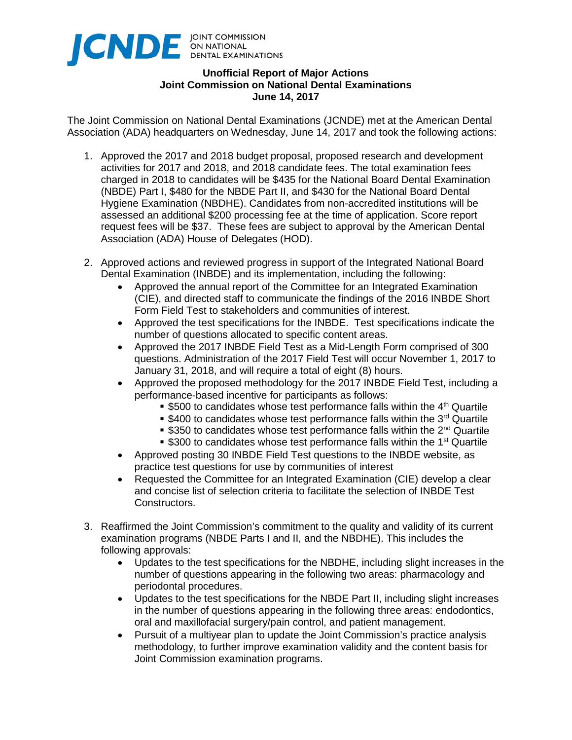

## **Unofficial Report of Major Actions Joint Commission on National Dental Examinations June 14, 2017**

The Joint Commission on National Dental Examinations (JCNDE) met at the American Dental Association (ADA) headquarters on Wednesday, June 14, 2017 and took the following actions:

- 1. Approved the 2017 and 2018 budget proposal, proposed research and development activities for 2017 and 2018, and 2018 candidate fees. The total examination fees charged in 2018 to candidates will be \$435 for the National Board Dental Examination (NBDE) Part I, \$480 for the NBDE Part II, and \$430 for the National Board Dental Hygiene Examination (NBDHE). Candidates from non-accredited institutions will be assessed an additional \$200 processing fee at the time of application. Score report request fees will be \$37. These fees are subject to approval by the American Dental Association (ADA) House of Delegates (HOD).
- 2. Approved actions and reviewed progress in support of the Integrated National Board Dental Examination (INBDE) and its implementation, including the following:
	- Approved the annual report of the Committee for an Integrated Examination (CIE), and directed staff to communicate the findings of the 2016 INBDE Short Form Field Test to stakeholders and communities of interest.
	- Approved the test specifications for the INBDE. Test specifications indicate the number of questions allocated to specific content areas.
	- Approved the 2017 INBDE Field Test as a Mid-Length Form comprised of 300 questions. Administration of the 2017 Field Test will occur November 1, 2017 to January 31, 2018, and will require a total of eight (8) hours.
	- Approved the proposed methodology for the 2017 INBDE Field Test, including a performance-based incentive for participants as follows:
		- $\bullet$  \$500 to candidates whose test performance falls within the 4<sup>th</sup> Quartile
		- $\bullet$  \$400 to candidates whose test performance falls within the 3<sup>rd</sup> Quartile
		- **S350 to candidates whose test performance falls within the 2<sup>nd</sup> Quartile**
		- **S300 to candidates whose test performance falls within the 1<sup>st</sup> Quartile**
	- Approved posting 30 INBDE Field Test questions to the INBDE website, as practice test questions for use by communities of interest
	- Requested the Committee for an Integrated Examination (CIE) develop a clear and concise list of selection criteria to facilitate the selection of INBDE Test Constructors.
- 3. Reaffirmed the Joint Commission's commitment to the quality and validity of its current examination programs (NBDE Parts I and II, and the NBDHE). This includes the following approvals:
	- Updates to the test specifications for the NBDHE, including slight increases in the number of questions appearing in the following two areas: pharmacology and periodontal procedures.
	- Updates to the test specifications for the NBDE Part II, including slight increases in the number of questions appearing in the following three areas: endodontics, oral and maxillofacial surgery/pain control, and patient management.
	- Pursuit of a multiyear plan to update the Joint Commission's practice analysis methodology, to further improve examination validity and the content basis for Joint Commission examination programs.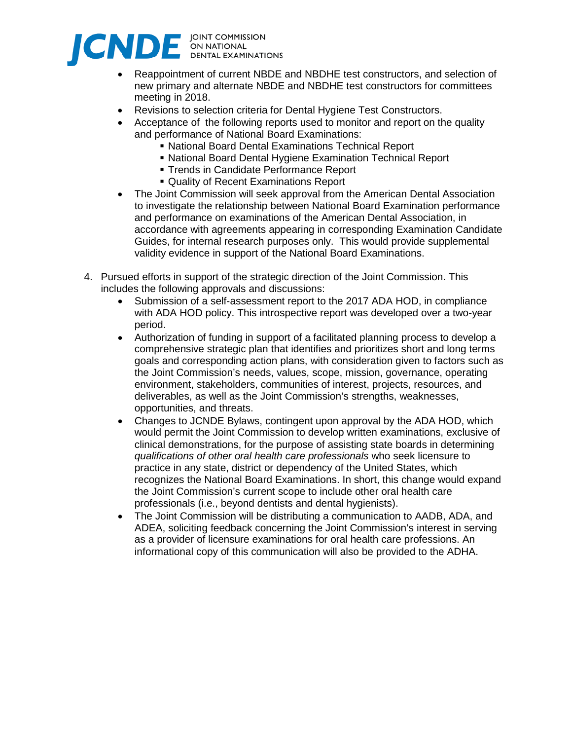

- Reappointment of current NBDE and NBDHE test constructors, and selection of new primary and alternate NBDE and NBDHE test constructors for committees meeting in 2018.
- Revisions to selection criteria for Dental Hygiene Test Constructors.
- Acceptance of the following reports used to monitor and report on the quality and performance of National Board Examinations:
	- National Board Dental Examinations Technical Report
	- National Board Dental Hygiene Examination Technical Report
	- **Trends in Candidate Performance Report**
	- Quality of Recent Examinations Report
- The Joint Commission will seek approval from the American Dental Association to investigate the relationship between National Board Examination performance and performance on examinations of the American Dental Association, in accordance with agreements appearing in corresponding Examination Candidate Guides, for internal research purposes only. This would provide supplemental validity evidence in support of the National Board Examinations.
- 4. Pursued efforts in support of the strategic direction of the Joint Commission. This includes the following approvals and discussions:
	- Submission of a self-assessment report to the 2017 ADA HOD, in compliance with ADA HOD policy. This introspective report was developed over a two-year period.
	- Authorization of funding in support of a facilitated planning process to develop a comprehensive strategic plan that identifies and prioritizes short and long terms goals and corresponding action plans, with consideration given to factors such as the Joint Commission's needs, values, scope, mission, governance, operating environment, stakeholders, communities of interest, projects, resources, and deliverables, as well as the Joint Commission's strengths, weaknesses, opportunities, and threats.
	- Changes to JCNDE Bylaws, contingent upon approval by the ADA HOD, which would permit the Joint Commission to develop written examinations, exclusive of clinical demonstrations, for the purpose of assisting state boards in determining *qualifications of other oral health care professionals* who seek licensure to practice in any state, district or dependency of the United States, which recognizes the National Board Examinations. In short, this change would expand the Joint Commission's current scope to include other oral health care professionals (i.e., beyond dentists and dental hygienists).
	- The Joint Commission will be distributing a communication to AADB, ADA, and ADEA, soliciting feedback concerning the Joint Commission's interest in serving as a provider of licensure examinations for oral health care professions. An informational copy of this communication will also be provided to the ADHA.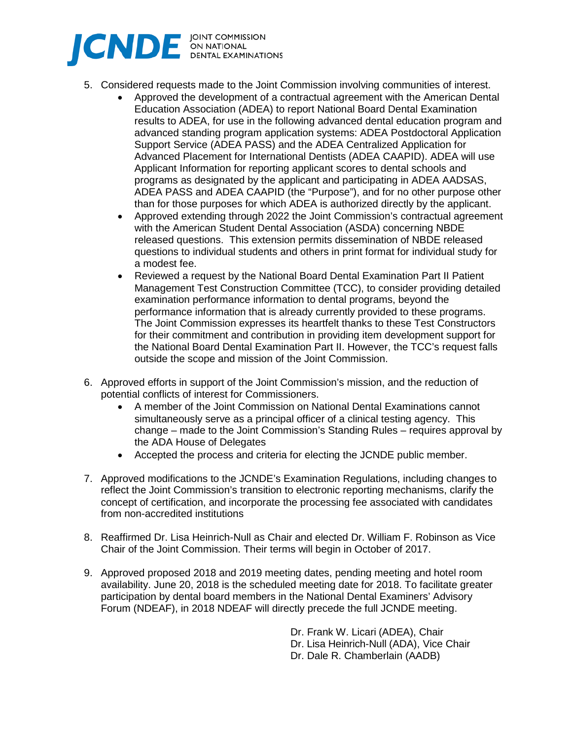

- 5. Considered requests made to the Joint Commission involving communities of interest.
	- Approved the development of a contractual agreement with the American Dental Education Association (ADEA) to report National Board Dental Examination results to ADEA, for use in the following advanced dental education program and advanced standing program application systems: ADEA Postdoctoral Application Support Service (ADEA PASS) and the ADEA Centralized Application for Advanced Placement for International Dentists (ADEA CAAPID). ADEA will use Applicant Information for reporting applicant scores to dental schools and programs as designated by the applicant and participating in ADEA AADSAS, ADEA PASS and ADEA CAAPID (the "Purpose"), and for no other purpose other than for those purposes for which ADEA is authorized directly by the applicant.
	- Approved extending through 2022 the Joint Commission's contractual agreement with the American Student Dental Association (ASDA) concerning NBDE released questions. This extension permits dissemination of NBDE released questions to individual students and others in print format for individual study for a modest fee.
	- Reviewed a request by the National Board Dental Examination Part II Patient Management Test Construction Committee (TCC), to consider providing detailed examination performance information to dental programs, beyond the performance information that is already currently provided to these programs. The Joint Commission expresses its heartfelt thanks to these Test Constructors for their commitment and contribution in providing item development support for the National Board Dental Examination Part II. However, the TCC's request falls outside the scope and mission of the Joint Commission.
- 6. Approved efforts in support of the Joint Commission's mission, and the reduction of potential conflicts of interest for Commissioners.
	- A member of the Joint Commission on National Dental Examinations cannot simultaneously serve as a principal officer of a clinical testing agency. This change – made to the Joint Commission's Standing Rules – requires approval by the ADA House of Delegates
	- Accepted the process and criteria for electing the JCNDE public member.
- 7. Approved modifications to the JCNDE's Examination Regulations, including changes to reflect the Joint Commission's transition to electronic reporting mechanisms, clarify the concept of certification, and incorporate the processing fee associated with candidates from non-accredited institutions
- 8. Reaffirmed Dr. Lisa Heinrich-Null as Chair and elected Dr. William F. Robinson as Vice Chair of the Joint Commission. Their terms will begin in October of 2017.
- 9. Approved proposed 2018 and 2019 meeting dates, pending meeting and hotel room availability. June 20, 2018 is the scheduled meeting date for 2018. To facilitate greater participation by dental board members in the National Dental Examiners' Advisory Forum (NDEAF), in 2018 NDEAF will directly precede the full JCNDE meeting.

Dr. Frank W. Licari (ADEA), Chair Dr. Lisa Heinrich-Null (ADA), Vice Chair Dr. Dale R. Chamberlain (AADB)